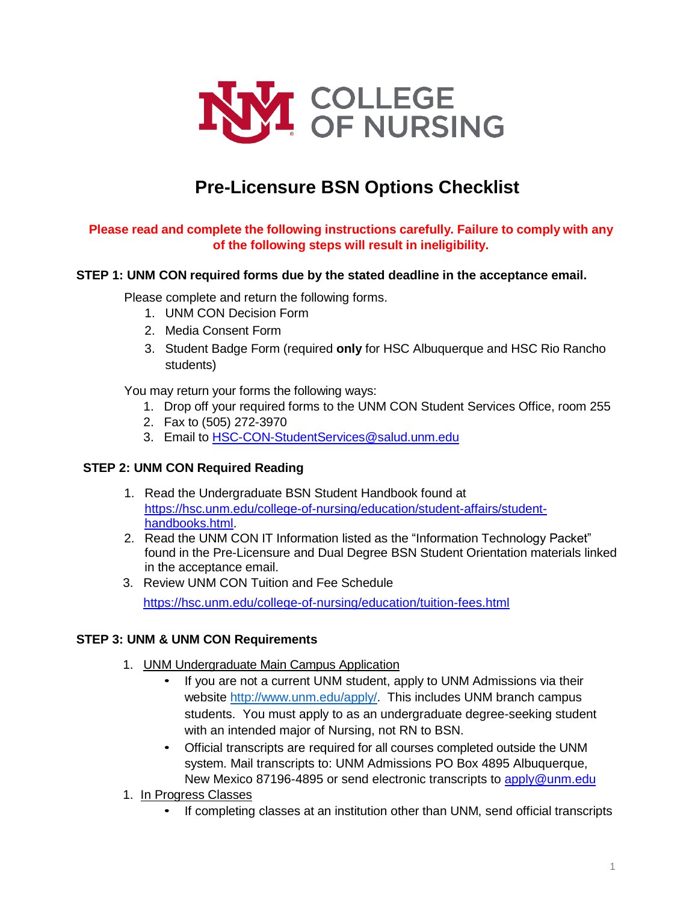

# **Pre-Licensure BSN Options Checklist**

## **Please read and complete the following instructions carefully. Failure to comply with any of the following steps will result in ineligibility.**

### **STEP 1: UNM CON required forms due by the stated deadline in the acceptance email.**

Please complete and return the following forms.

- 1. UNM CON Decision Form
- 2. Media Consent Form
- 3. Student Badge Form (required **only** for HSC Albuquerque and HSC Rio Rancho students)

You may return your forms the following ways:

- 1. Drop off your required forms to the UNM CON Student Services Office, room 255
- 2. Fax to (505) 272-3970
- 3. Email to **HSC-CON-StudentServices@salud.unm.edu**

### **STEP 2: UNM CON Required Reading**

- 1. Read the Undergraduate BSN Student Handbook found at [https://hsc.unm.edu/college-of-nursing/education/student-affairs/student](https://hsc.unm.edu/college-of-nursing/education/student-affairs/student-handbooks.html)[handbooks.html.](https://hsc.unm.edu/college-of-nursing/education/student-affairs/student-handbooks.html)
- 2. Read the UNM CON IT Information listed as the "Information Technology Packet" found in the Pre-Licensure and Dual Degree BSN Student Orientation materials linked in the acceptance email.
- 3. Review UNM CON Tuition and Fee Schedule

<https://hsc.unm.edu/college-of-nursing/education/tuition-fees.html>

### **STEP 3: UNM & UNM CON Requirements**

- 1. UNM Undergraduate Main Campus Application
	- If you are not a current UNM student, apply to UNM Admissions via their website [http://www.unm.edu/apply/.](http://www.unm.edu/apply/) This includes UNM branch campus students. You must apply to as an undergraduate degree-seeking student with an intended major of Nursing, not RN to BSN.
	- Official transcripts are required for all courses completed outside the UNM system. Mail transcripts to: UNM Admissions PO Box 4895 Albuquerque, New Mexico 87196-4895 or send electronic transcripts to [apply@unm.edu](mailto:apply@unm.edu)
- 1. In Progress Classes
	- If completing classes at an institution other than UNM, send official transcripts